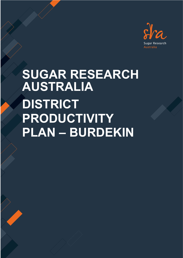

# **SUGAR RESEARCH AUSTRALIA DISTRICT PRODUCTIVITY PLAN – BURDEKIN**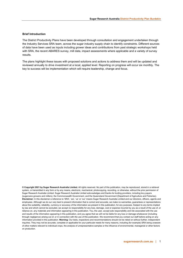#### **Brief Introduction**

The District Productivity Plans have been developed through consultation and engagement undertaken through the Industry Services SRA team, across the sugar industry supply chain to identify constraints. Different sources of data have been used as inputs including grower ideas and contributions from past strategic workshops held with SRA, the recent ABARES survey, mill data, impact assessments where applicable and a variety of survey results.

The plans highlight these issues with proposed solutions and actions to address them and will be updated and reviewed annually to drive investment at a local, applied level. Reporting on progress will occur six monthly. The key to success will be implementation which will require leadership, change and focus.

**© Copyright 2021 by Sugar Research Australia Limited.** All rights reserved. No part of this publication, may be reproduced, stored in a retrieval system, or transmitted in any form or by any means, electronic, mechanical, photocopying, recording, or otherwise, without the prior permission of Sugar Research Australia Limited. Sugar Research Australia Limited acknowledges and thanks its funding providers, including levy payers (sugarcane growers and millers), the Commonwealth Government, and the Queensland Government (Department of Agriculture and Fisheries). **Disclaimer:** In this disclaimer a reference to 'SRA', 'we', 'us' or 'our' means Sugar Research Australia Limited and our directors, officers, agents and employees. Although we do our very best to present information that is correct and accurate, we make no warranties, guarantees or representations about the suitability, reliability, currency or accuracy of the information we present in this publication, for any purposes. Subject to any terms implied by law and which cannot be excluded, we accept no responsibility for any loss, damage, cost or expense incurred by you as a result of the use of, or reliance on, any materials and information appearing in this publication. You, the user, accept sole responsibility and risk associated with the use and results of the information appearing in this publication, and you agree that we will not be liable for any loss or damage whatsoever (including through negligence) arising out of, or in connection with the use of this publication. We recommend that you contact our staff before acting on any information provided in this publication. **Warning:** Our tests, inspections and recommendations should not be relied on without further, independent inquiries. They may not be accurate, complete or applicable for your particular needs for many reasons, including (for example) SRA being unaware of other matters relevant to individual crops, the analysis of unrepresentative samples or the influence of environmental, managerial or other factors on production.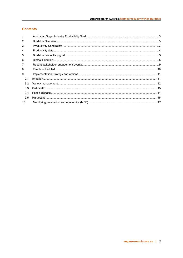## **Contents**

| 1               |  |
|-----------------|--|
| $\mathcal{P}$   |  |
| 3               |  |
| 4               |  |
| 5               |  |
| 6               |  |
| 7               |  |
| 8               |  |
| 9               |  |
| 9.1             |  |
| 9.2             |  |
| 9.3             |  |
| 9.4             |  |
| 9.5             |  |
| 10 <sup>1</sup> |  |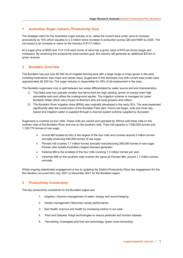## <span id="page-3-0"></span>**1 Australian Sugar Industry Productivity Goal**

The strategic intent for the Australian sugar industry is to; utilise the current area under cane to increase productivity by 10% which equates to a 3 million tonne increase in production across Qld and NSW by 2026. The net impact is an increase in value on the industry of \$117 million.

At a sugar price of \$500 and 13.5 CCS each tonne of cane has a gross value of \$70 per tonne (sugar and molasses). By achieving this productivity improvement goal, the industry will generate an additional \$210m in gross revenue

## <span id="page-3-1"></span>**2 Burdekin Overview**

The Burdekin has just over 80 000 Ha of irrigated farming land with a large range of crops grown in the area including horticulture, tree crops and cereal crops. Sugarcane is the dominant crop with current area under cane approximately 66 200 Ha. The sugar industry is responsible for 30% of all employment in the area.

The Burdekin sugarcane crop is split between two areas differentiated by water source and soil characteristics.

- 1) The Delta area has typically smaller size farms that are high yielding, grown on sandy/ loam high permeable soils and utilise the underground aquifer. The irrigation scheme is managed by Lower Burdekin Water which has a board of directors who are local growers and millers.
- 2) The Burdekin River Irrigation Area (BRIA) was originally developed in the early 50's. The area expanded significantly after the construction of the Burdekin Falls dam. Farms are larger, soils are more clay based and irrigation water is supplied through a channel system scheme supplied by Sunwater.

Sugarcane is crushed via four mills. These mills are owned and operated by Wilmar with three mills on the northern side of the Burdekin River and one on the southern side. Total mill capacity is 7,900,000 tonnes and 1,190,770 tonnes of raw sugar.

- Invicta Mill located at Giru is the largest of the four mills and crushes around 3 million tonnes annually producing 440,000 tonnes of raw sugar.
- Pioneer mill crushes 1.7 million tonnes annually manufacturing 260,000 tonnes of raw sugar. Pioneer also boasts Australia's largest biomass generator.
- Kalamia Mill is the smallest of the four mills crushing 1.5 million tonnes per year.
- Inkerman Mill on the southern side crushes the same as Pioneer Mill, around 1.7 million tonnes annually.

Whilst ongoing stakeholder engagement is key to updating the District Productivity Plans the engagement for the first iteration occurred from July 2021 to December 2021 for the Burdekin region.

## <span id="page-3-2"></span>**3 Productivity Constraints**

The key productivity constraints for the Burdekin region are;

- 1. Irrigation: Improve management of water, energy and record keeping.
- 2. Variety management: Maximise variety performance.
- 3. Soil Health: Improve soil health by increasing carbon in our soils.
- 4. Pest and Disease: Adopt technologies to reduce pesticide and monitor disease.
- 5. Harvesting: Investigate and trial new technology, green cane harvesting.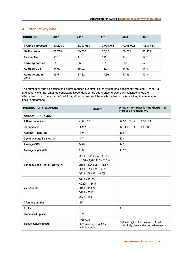| <b>BURDEKIN</b>         | 2017      | 2018      | 2019      | 2020      | 2021      |
|-------------------------|-----------|-----------|-----------|-----------|-----------|
| <b>T Cane harvested</b> | 8,120,897 | 8,023,650 | 7,909,756 | 7,905,092 | 7,887,668 |
| <b>Ha Harvested</b>     | 68,754    | 69,037    | 67,824    | 66,201    | 65,505    |
| T cane/ Ha              | 118       | 116       | 116       | 119       | 120       |
| <b>Farming entities</b> | 553       | 550       | 551       | 537       | 528       |
| <b>Average CCS</b>      | 14.02     | 15.02     | 14.97     | 14.62     | 14.4      |
| Average sugar<br>yield  | 16.54     | 17.42     | 17.36     | 17.39     | 17.34     |

## <span id="page-4-0"></span>**4 Productivity data**

The number of farming entities has slights reduced overtime; Ha harvested has significantly reduced. T cane/Ha and sugar yield has remained consistent. Dependent on the sugar price, growers will continue to look for alternative crops. The impact of Fall Army Worm on some of these alternative crops is resulting in a reversion back to sugarcane.

| PRODUCTIVITY SNAPSHOT            | 2020/21                                                                                                                                       | What is the target for the district - to<br>increase productivity?                  |  |
|----------------------------------|-----------------------------------------------------------------------------------------------------------------------------------------------|-------------------------------------------------------------------------------------|--|
| <b>District - BURDEKIN</b>       |                                                                                                                                               |                                                                                     |  |
| <b>T Cane harvested</b>          | 7,905,092                                                                                                                                     | 8,275,125 ><br>8,500,000                                                            |  |
| Ha harvested                     | 66,201                                                                                                                                        | 66,201<br>68,000<br>$\geq$                                                          |  |
| Average T cane / ha              | 119                                                                                                                                           | 125                                                                                 |  |
| 5 year average T cane / ha       | 117                                                                                                                                           | 123                                                                                 |  |
| <b>Average CCS</b>               | 14.62                                                                                                                                         | 14.5                                                                                |  |
| Average sugar yield              | 17.39                                                                                                                                         | 18.12                                                                               |  |
| Varieties Top 5 Total Tonnes / % | $Q$ 240 - 3,119.965 - 39.5%<br>KQ228 - 1,707,417 - 21.6%<br>$Q183 - 1,248,063 - 15.8%$<br>$Q208 - 916,132 - 11.6%$<br>$Q232 - 690,931 - 8.7%$ |                                                                                     |  |
| <b>Varieties Ha</b>              | $Q240 - 25153$<br>KQ228-13417<br>$Q183 - 11039$<br>$Q208 - 8346$<br>$Q232 - 5893$                                                             |                                                                                     |  |
| # farming entities               | 537                                                                                                                                           |                                                                                     |  |
| # mills                          | $\overline{4}$                                                                                                                                | $\overline{4}$                                                                      |  |
| Clean seed uptake                | 0.9%                                                                                                                                          |                                                                                     |  |
| Tissue culture uptake            | 2 growers<br>8000 seedlings + 4000 in<br>individual orders                                                                                    | Value is higher than cost of \$1.30 with<br>productivity gains and a year advantage |  |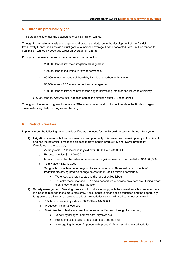## <span id="page-5-0"></span>**5 Burdekin productivity goal**

The Burdekin district has the potential to crush 8.6 million tonnes.

Through the industry analysis and engagement process undertaken in the development of the District Productivity Plans; the Burdekin district goal is to increase average T cane harvested from 8 million tonnes to 8.25 million tonnes by 2025 and target an average of 125t/ha.

Priority rank increase tonnes of cane per annum in the region:

- 230,000 tonnes improved irrigation management.
- 100,000 tonnes maximise variety performance.
- 86,000 tonnes improve soil health by introducing carbon to the system.
- 90,000 tonnes RSD measurement and management.
- 130,000 tonnes introduce new technology to harvesting, monitor and increase efficiency.
- 636,000 tonnes. Assume 50% adoption across the district = extra 318,000 tonnes.

Throughout the entire program it's essential SRA is transparent and continues to update the Burdekin region stakeholders regularly on progress of the program.

## <span id="page-5-1"></span>**6 District Priorities**

In priority order the following have been identified as the focus for the Burdekin area over the next four years.

- 1) **Irrigation** is seen as both a constraint and an opportunity. It is ranked as the main priority in the district and has the potential to make the biggest improvement in productivity and overall profitability. Calculated on the basis of;
	- $\circ$  Average of 3.5T/Ha increase in yield over 68,000Ha = 238,000 T.
	- o Production value \$11,600,000
	- o Input cost reduction based on a decrease in megalitres used across the district \$10,500,000
	- $\circ$  Total value = \$22,400,000
	- $\circ$  Subgoal is to use less water to grow the sugarcane crop. Three main components of irrigation are driving practise change across the Burdekin farming community.
		- Water costs, energy costs and the lack of skilled labour.
		- To make these changes SRA and a consortium of service providers are utilising smart technology to automate irrigation.
- 2) **Variety management.** Overall growers and industry are happy with the current varieties however there is a need to manage these more efficiently. Adjustments to clean seed distribution and the opportunity for growers to utilise tissue culture to adopt new varieties quicker will lead to increases in yield.
	- 1.5 T/ha increase in yield over  $68,000$ Ha = 102,000 T.
	- o Production value \$5,000,000
	- $\circ$  Maximise the potential of current varieties in the Burdekin through focusing on;
		- Variety by soil type, harvest date, drydown etc.
		- Promoting tissue culture as a clean seed source and
		- Investigating the use of ripeners to improve CCS across all released varieties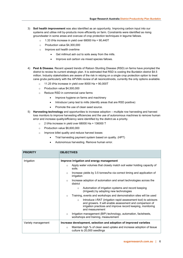- 3) **Soil health improvement** was also identified as an opportunity. Improving carbon input into our systems and utilise mill by-products more efficiently on farm. Constraints were identified as rising groundwater in some areas and overuse of crop protection techniques in legume fallows.
	- $\circ$  1.33 t/Ha increase in vield over 68000 Ha = 90.440T
	- o Production value \$4,300,000
	- o Improve soil health overtime
		- Get millmud ash out to soils away from the mills.
		- Improve soil carbon via mixed species fallows.
- 4) **Pest & Disease.** Recent upward trends of Ratoon Stunting Disease (RSD) on farms have prompted the district to review its current strategic plan. It is estimated that RSD is costing the Burdekin district \$4.5 million. Industry stakeholders are aware of the risk in relying on a single crop protection option to treat cane grubs particularly with the APVMA review of all neonicotinoids, currently the only options available.
	- o 11.25 t/Ha increase in yield over 8000 Ha = 90,000T
	- o Production value \$4,500,000
	- o Reduce RSD in commercial cane farms
		- Improve hygiene on farms and machinery
		- Introduce Lamp test to mills (Identify areas that are RSD positive)
		- Promote the use of clean seed source.
- 5) **Harvesting technology** and opportunities to increase adoption multiple row harvesting and harvest loss monitors to improve harvesting efficiencies and the use of autonomous machines to remove human error and increase quality/efficiency were identified by the disitrct.as a priority.
	- $\circ$  2 t/Ha increase in yield over 68000 Ha = 136000 T
	- o Production value \$6,600,000
	- o Improve billet quality and reduce harvest losses
		- Trial harvesting payment system based on quality. (HPT)
		- Autonomous harvesting. Remove human error.

| <b>PRIORITY</b>    | <b>OBJECTIVES</b>                                                                                                                                                                                                       |
|--------------------|-------------------------------------------------------------------------------------------------------------------------------------------------------------------------------------------------------------------------|
| Irrigation         | Improve irrigation and energy management                                                                                                                                                                                |
|                    | Apply water volumes that closely match soil water holding capacity of<br>$\circ$<br>soils.                                                                                                                              |
|                    | Increase yields by 3.5 tonnes/ha via correct timing and application of<br>$\circ$<br>irrigation                                                                                                                         |
|                    | Increase adoption of automation and smart technologies across the<br>$\circ$<br>district                                                                                                                                |
|                    | Automation of irrigation systems and record keeping<br>$\circ$<br>(Irrigweb) by adopting new technologies                                                                                                               |
|                    | Training, events and workshops and demonstration sites will be used<br>$\circ$                                                                                                                                          |
|                    | Introduce i-RAT (irrigation rapid assessment tool) to advisors<br>$\circ$<br>and growers. It will enable assessment and comparison of<br>irrigation practices and improve record keeping, monitoring<br>and measurement |
|                    | Irrigation management (BIP) technology, automation, factsheets,<br>$\circ$<br>workshops and training, measurement                                                                                                       |
| Variety management | Increase development, selection and adoption of improved varieties                                                                                                                                                      |
|                    | Maintain high % of clean seed uptake and increase adoption of tissue<br>$\circ$<br>culture to 20,000 seedlings                                                                                                          |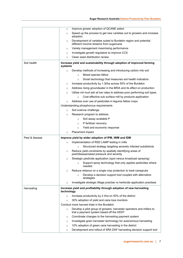|                | Improve grower adoption of QCANE select<br>$\circ$                                                                           |
|----------------|------------------------------------------------------------------------------------------------------------------------------|
|                | Speed up the process to get new varieties out to growers and increase<br>$\circ$<br>adoption.                                |
|                | Development of varieties suited to Burdekin region and potential<br>O<br>different income streams from sugarcane             |
|                | Variety management maximising performance<br>O                                                                               |
|                | Investigate growth regulators to improve CCS<br>$\circ$                                                                      |
|                | Clean seed distribution review<br>$\circ$                                                                                    |
| Soil health    | Increase yield and sustainability through adoption of improved farming<br>systems                                            |
|                | Develop methods of increasing and introducing carbon into soil<br>$\circ$                                                    |
|                | Mixed species fallow<br>$\circ$                                                                                              |
|                | Smart technology that measures soil health indicators<br>$\circ$                                                             |
|                | Increase productivity by 1.3t/ha across 50% of the Burdekin<br>$\circ$                                                       |
|                | Address rising groundwater in the BRIA and its effect on production<br>$\circ$                                               |
|                | Utilise mil mud ash at low rates to address poor performing soil types.<br>$\circ$                                           |
|                | Cost effective sub surface mill by products application<br>$\circ$                                                           |
|                | Address over use of pesticides in legume fallow crops                                                                        |
|                | $\circ$                                                                                                                      |
|                | Understanding phosphorous requirements                                                                                       |
|                | Soil science challenge<br>$\circ$                                                                                            |
|                | Research program to address<br>$\circ$                                                                                       |
|                | Soil assay available P<br>$\circ$                                                                                            |
|                | P fertilizer recovery<br>$\circ$                                                                                             |
|                | Yield and economic response<br>$\circ$                                                                                       |
|                | Placement impact<br>$\circ$                                                                                                  |
| Pest & disease | Improve yield by wider adoption of IPM, IWM and IDM                                                                          |
|                | Implementation of RSD LAMP testing in mills<br>$\circ$                                                                       |
|                | Structured strategy targeting severely infected subdistricts<br>$\circ$                                                      |
|                | Reduce yield constraints by spatially identifying areas of<br>$\circ$<br>pest/disease/weed pressure and severity             |
|                | Strategic pesticide application (spot versus broadcast spraying)<br>$\circ$                                                  |
|                | $\circ$ Support spray technology that only applies pesticides where<br>needed                                                |
|                | Reduce reliance on a single crop protection to treat canegrubs<br>$\circ$                                                    |
|                | Develop a decision support tool coupled with alternative<br>$\circ$<br>strategies                                            |
|                | Investigate strategic tillage practise vs herbicide application practises<br>$\circ$                                         |
| Harvesting     | Increase yield and profitability through adoption of new harvesting<br>technology                                            |
|                | Increase productivity by 2 t/ha on 50% of the district<br>$\circ$                                                            |
|                | 30% adoption of yield and cane loss monitors<br>$\circ$                                                                      |
|                | Conduct more harvest trials in the Burdekin                                                                                  |
|                | Develop a pilot group of growers, harvester operators and millers to<br>$\circ$<br>trial a payment system based off the HDST |
|                | Coordinate changes to the harvesting payment system<br>$\circ$                                                               |
|                | Investigate grain harvester technology for autonomous harvesting<br>O                                                        |
|                | 10% adoption of green cane harvesting in the district<br>$\circ$                                                             |
|                | Development and rollout of SRA DAF harvesting decision support tool<br>$\circ$                                               |
|                |                                                                                                                              |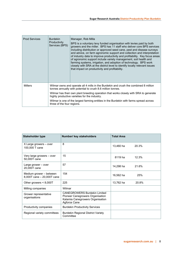| <b>Prod Services</b> | <b>Burdekin</b><br>Productivity<br>Services (BPS) | Manager, Rob Milla<br>BPS is a voluntary levy funded organisation with levies paid by both<br>growers and the miller. BPS has 11 staff who deliver core BPS services<br>including distribution or approved seed cane, pest and disease surveys<br>and advice, on farm agronomic support and collection and interpretation<br>of industry data to improve productivity and profitability. Key focus areas<br>of agronomic support include variety management, soil health and<br>farming systems, irrigation, and adoption of technology. BPS work<br>closely with SRA at the district level to identify locally relevant issues<br>that impact on productivity and profitability. |
|----------------------|---------------------------------------------------|-----------------------------------------------------------------------------------------------------------------------------------------------------------------------------------------------------------------------------------------------------------------------------------------------------------------------------------------------------------------------------------------------------------------------------------------------------------------------------------------------------------------------------------------------------------------------------------------------------------------------------------------------------------------------------------|
| <b>Millers</b>       |                                                   | Wilmar owns and operate all 4 mills in the Burdekin and crush the combined 8 million<br>tonnes annually with potential to crush 8.6 million tonnes.                                                                                                                                                                                                                                                                                                                                                                                                                                                                                                                               |
|                      |                                                   | Wilmar has their own plant breeding operation that works closely with SRA to generate<br>highly productive varieties for the industry.                                                                                                                                                                                                                                                                                                                                                                                                                                                                                                                                            |
|                      | three of the four regions.                        | Wilmar is one of the largest farming entities in the Burdekin with farms spread across                                                                                                                                                                                                                                                                                                                                                                                                                                                                                                                                                                                            |

| <b>Stakeholder type</b>                               | Number/ key stakeholders                                                                                                    | <b>Total Area</b> |       |
|-------------------------------------------------------|-----------------------------------------------------------------------------------------------------------------------------|-------------------|-------|
| X Large growers – over<br>100,000 T cane              | 8                                                                                                                           | 13,460 ha         | 20.3% |
| Very large growers - over<br>50,000T cane             | 15                                                                                                                          | 8119 ha           | 12.3% |
| Large grower - over<br>20,000T cane                   | 57                                                                                                                          | 14,298 ha         | 21.6% |
| Medium grower – between<br>8,000T cane - 20,000T cane | 154                                                                                                                         | 16,562 ha         | 25%   |
| Other growers $< 8,000T$                              | 225                                                                                                                         | 13,762 ha         | 20.8% |
| Milling companies                                     | Wilmar                                                                                                                      |                   |       |
| Grower representative<br>organisations                | <b>CANEGROWERS Burdekin Limited</b><br>Pioneer Canegrowers Organisation<br>Kalamia Canegrowers Organisation<br>Agforce Cane |                   |       |
| Productivity companies                                | <b>Burdekin Productivity Services</b>                                                                                       |                   |       |
| Regional variety committees                           | <b>Burdekin Regional District Variety</b><br>Committee                                                                      |                   |       |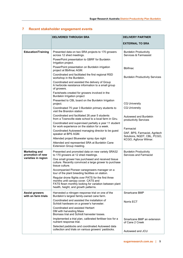# <span id="page-9-0"></span>**7 Recent stakeholder engagement events**

|                                              | <b>DELIVERED THROUGH SRA</b>                                                                                                                                                                 | <b>DELIVERY PARTNER</b>                                       |
|----------------------------------------------|----------------------------------------------------------------------------------------------------------------------------------------------------------------------------------------------|---------------------------------------------------------------|
|                                              |                                                                                                                                                                                              | <b>EXTERNAL TO SRA</b>                                        |
| <b>Education/Training</b>                    | Presented data on two SRA projects to 170 growers<br>across 12 shed meetings.                                                                                                                | <b>Burdekin Productivity</b><br>Services & Farmassist         |
|                                              | PowerPoint presentation to GBRF for Burdekin<br>Irrigation project.                                                                                                                          |                                                               |
|                                              | PowerPoint presentation on Burdekin irrigation<br>project at Bbifmac AGM.                                                                                                                    | <b>Bbifmac</b>                                                |
|                                              | Coordinated and facilitated the first regional RSD<br>workshop in the Burdekin.                                                                                                              | <b>Burdekin Productivity Services</b>                         |
|                                              | Coordinated and assisted the delivery of Group<br>A herbicide resistance information to a small group<br>of growers.                                                                         |                                                               |
|                                              | Factsheets created for growers involved in the<br>Burdekin Irrigation project                                                                                                                |                                                               |
|                                              | Presented to CBL board on the Burdekin Irrigation<br>project.                                                                                                                                | <b>CQ University</b>                                          |
|                                              | Coordinated 75 year 3 Burdekin primary students to<br>visit the Brandon station                                                                                                              | <b>CQ University</b>                                          |
|                                              | Coordinated and facilitated 26 year 5 students<br>from a Townsville state school to a local farm in Giru.                                                                                    | Autoweed and Burdekin<br>productivity Services                |
|                                              | Coordinated and supervised partially a year 11 student<br>for work experience on the station for a week.                                                                                     |                                                               |
|                                              | Coordinated Autoweed managing director to be guest<br>speaker at BPS AGM.                                                                                                                    | Farmacist<br>DAF, BPS, Farmacist, Agritech                    |
|                                              | Attended project Bluewater spray dye night                                                                                                                                                   | Solutions, NQDT, CBL, PCGO,<br>KCGO, Agforce Wilmar.          |
|                                              | Attended and represented SRA at Burdekin Cane<br>Extension Group meeting.                                                                                                                    |                                                               |
| <b>Marketing and</b><br>promotion of new     | Presented and promoted data on new variety SRA32<br>to 170 growers at 12 shed meetings.                                                                                                      | <b>Burdekin Productivity</b><br><b>Services and Farmacist</b> |
| varieties in region                          | One small grower has purchased and received tissue<br>culture. Recently convinced a large grower to purchase<br>tissue culture.                                                              |                                                               |
|                                              | Accompanied Pioneer canegrowers manager on a<br>tour of the plant breeding facilities on station.                                                                                            |                                                               |
|                                              | Regular drone flights over PATS for the first three<br>months until canopy cover. CATS and<br>FATS flown monthly looking for variation between plant<br>health, height, and growth patterns. |                                                               |
| <b>Assist growers</b><br>with on farm trials | Harvested a nitrogen response trial on one of the<br>Burdekin's largest family-owned cane farm.                                                                                              | Smartcane BMP                                                 |
|                                              | Coordinated and assisted the installation of<br>Schlott hardware on a grower's harvester.                                                                                                    | Norris ECT                                                    |
|                                              | Coordinated and assisted Herbert<br>DM with harvesting Mass<br>Biomass trial and Schlott harvester losses.                                                                                   |                                                               |
|                                              | Implemented a trial plan, calibrated fertiliser box for a<br>nutrient response trial.                                                                                                        | Smartcane BMP an extension<br>of Cane 2 Creek                 |
|                                              | Selected paddocks and coordinated Autoweed data<br>collection and trials on various growers' paddocks.                                                                                       | Autoweed and JCU                                              |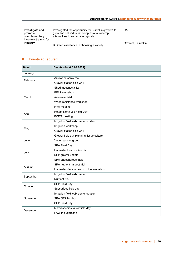| Investigate and<br>promote<br>complementary<br>income streams for | Investigated the opportunity for Burdekin growers to<br>grow and sell industrial hemp as a fallow crop,<br>alternatives to sugarcane crystals. | <b>DAF</b>        |
|-------------------------------------------------------------------|------------------------------------------------------------------------------------------------------------------------------------------------|-------------------|
| industry                                                          | B Green assistance in choosing a variety.                                                                                                      | Growers, Burdekin |

## <span id="page-10-0"></span>**8 Events scheduled**

| <b>Month</b>                                                                                                                                                                                                                                                                                                                                                                   | Events (As at 8.04.2022)                 |  |  |  |  |  |
|--------------------------------------------------------------------------------------------------------------------------------------------------------------------------------------------------------------------------------------------------------------------------------------------------------------------------------------------------------------------------------|------------------------------------------|--|--|--|--|--|
| January                                                                                                                                                                                                                                                                                                                                                                        |                                          |  |  |  |  |  |
|                                                                                                                                                                                                                                                                                                                                                                                | Autoweed spray trial                     |  |  |  |  |  |
|                                                                                                                                                                                                                                                                                                                                                                                | Grower station field walk                |  |  |  |  |  |
|                                                                                                                                                                                                                                                                                                                                                                                | Shed meetings x 12                       |  |  |  |  |  |
|                                                                                                                                                                                                                                                                                                                                                                                | FEAT workshop                            |  |  |  |  |  |
| March                                                                                                                                                                                                                                                                                                                                                                          | Autoweed trial                           |  |  |  |  |  |
|                                                                                                                                                                                                                                                                                                                                                                                | Weed resistance workshop                 |  |  |  |  |  |
|                                                                                                                                                                                                                                                                                                                                                                                | RVA meeting                              |  |  |  |  |  |
|                                                                                                                                                                                                                                                                                                                                                                                | Rotary North Qld Field Day               |  |  |  |  |  |
|                                                                                                                                                                                                                                                                                                                                                                                | <b>BCEG</b> meeting                      |  |  |  |  |  |
|                                                                                                                                                                                                                                                                                                                                                                                | Irrigation field walk demonstration      |  |  |  |  |  |
|                                                                                                                                                                                                                                                                                                                                                                                | Irrigation workshop                      |  |  |  |  |  |
|                                                                                                                                                                                                                                                                                                                                                                                | Grower station field walk                |  |  |  |  |  |
|                                                                                                                                                                                                                                                                                                                                                                                | Grower field day planning tissue culture |  |  |  |  |  |
| June                                                                                                                                                                                                                                                                                                                                                                           | Young grower group                       |  |  |  |  |  |
|                                                                                                                                                                                                                                                                                                                                                                                | <b>SRA Field Day</b>                     |  |  |  |  |  |
|                                                                                                                                                                                                                                                                                                                                                                                | Harvester loss monitor trial             |  |  |  |  |  |
|                                                                                                                                                                                                                                                                                                                                                                                | SHP grower update                        |  |  |  |  |  |
|                                                                                                                                                                                                                                                                                                                                                                                | SRA phosphorous trials                   |  |  |  |  |  |
|                                                                                                                                                                                                                                                                                                                                                                                | <b>SRA</b> nutrient harvest trial        |  |  |  |  |  |
| February<br>April<br>May<br>July<br>August<br>Harvester decision support tool workshop<br>Irrigation field walk demo<br>September<br><b>Nutrient trial</b><br>SHP Field Day<br>October<br>Subsurface field day<br>Irrigation field walk demonstration<br><b>SRA 6ES Toolbox</b><br>November<br>SHP Field Day<br>Mixed species fallow field day<br>December<br>FAW in sugarcane |                                          |  |  |  |  |  |
|                                                                                                                                                                                                                                                                                                                                                                                |                                          |  |  |  |  |  |
|                                                                                                                                                                                                                                                                                                                                                                                |                                          |  |  |  |  |  |
|                                                                                                                                                                                                                                                                                                                                                                                |                                          |  |  |  |  |  |
|                                                                                                                                                                                                                                                                                                                                                                                |                                          |  |  |  |  |  |
|                                                                                                                                                                                                                                                                                                                                                                                |                                          |  |  |  |  |  |
|                                                                                                                                                                                                                                                                                                                                                                                |                                          |  |  |  |  |  |
|                                                                                                                                                                                                                                                                                                                                                                                |                                          |  |  |  |  |  |
|                                                                                                                                                                                                                                                                                                                                                                                |                                          |  |  |  |  |  |
|                                                                                                                                                                                                                                                                                                                                                                                |                                          |  |  |  |  |  |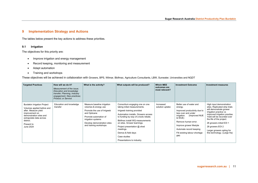## **9 Implementation Strategy and Actions**

The tables below present the key actions to address these priorities.

## **9.1 Irrigation**

The objectives for this priority are:

- Improve irrigation and energy management
- Record keeping, monitoring and measurement
- Adapt automation
- Training and workshops

These objectives will be achieved in collaboration with Growers, BPS, Wilmar, Bbifmac, Agriculture Consultants, LBW, Sunwater, Universities and NQDT

<span id="page-11-1"></span><span id="page-11-0"></span>

| <b>Targeted Practices</b>                                                                                                                                                                                       | How will we do it?<br>Measurement of the issue:<br>Education and knowledge<br>transfer; Planning, Industry<br>engagement, New practices;<br><b>Product: or Service</b> | What is the activity?                                                                                                                                                                                      | What outputs will be produced?                                                                                                                                                                                                                                                                                                                                | <b>Which MEE</b><br>outcomes are<br>most relevant? | <b>Investment Outcome</b>                                                                                                                                                                                                                                  | <b>Investment measures</b>                                                                                                                                                                                                                                                                                              |
|-----------------------------------------------------------------------------------------------------------------------------------------------------------------------------------------------------------------|------------------------------------------------------------------------------------------------------------------------------------------------------------------------|------------------------------------------------------------------------------------------------------------------------------------------------------------------------------------------------------------|---------------------------------------------------------------------------------------------------------------------------------------------------------------------------------------------------------------------------------------------------------------------------------------------------------------------------------------------------------------|----------------------------------------------------|------------------------------------------------------------------------------------------------------------------------------------------------------------------------------------------------------------------------------------------------------------|-------------------------------------------------------------------------------------------------------------------------------------------------------------------------------------------------------------------------------------------------------------------------------------------------------------------------|
| <b>Burdekin Irrigation Project</b><br>Volumes applied before and<br>after. Measure yield<br>improvement on<br>demonstration sites and<br>extrapolate data across<br>district.<br>Present to<br><b>June 2024</b> | Education and knowledge<br>transfer                                                                                                                                    | Measure baseline irrigation<br>volumes & energy use<br>Promote the use of Irrigweb<br>and Opticane<br>Promote automation of<br>irrigation systems<br>Develop demonstration sites<br>and training workshops | Consortium engaging one on one<br>taking initial measurements.<br>Irrigweb training provided<br>Automation installs, Growers access<br>to funding by way of a tools rebate.<br>Bbifmac install WQ measurements<br>on sites. Grower learnings.<br>Project presentation @ shed<br>meetings.<br>Demos & field days<br>Case studies<br>Presentations to industry. | Increased<br>solution uptake                       | Better use of water and<br>energy.<br>Improved productivity due to<br>less over and under<br>(Improved NUE<br>irrigation.<br>& WUE)<br>Remove human error.<br>Improve grower lifestyle<br>Automate record keeping<br>Fill existing labour shortage<br>gap. | High input demonstration<br>sites. Replicated strip trials<br>will demonstrate grower<br>irrigation practice vs<br>improved irrigation practise.<br>Yield will be recorded over<br>the life of the project.<br>26 growers initial EOI 1<br>28 growers EOI 2<br>Larger growers opting for<br>this technology. (Large Ha) |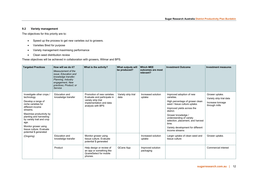## **9.2 Variety management**

The objectives for this priority are to:

- Speed up the process to get new varieties out to growers.
- Varieties Bred for purpose
- Variety management maximising performance
- Clean seed distribution review

These objectives will be achieved in collaboration with growers, Wilmar and BPS.

<span id="page-12-0"></span>

| <b>Targeted Practices</b>                                                                                                                                                                                                                                                                      | How will we do it?<br>Measurement of the<br><i>issue: Education and</i><br>knowledge transfer:<br>Planning, Industry<br>engagement, New<br>practices: Product: or<br>Service | What is the activity?                                                                                                             | What outputs will<br>be produced? | <b>Which MEE</b><br>outcomes are most<br>relevant? | <b>Investment Outcome</b>                                                                                                                                                                                                                                                                                    | <b>Investment measures</b>                                                      |
|------------------------------------------------------------------------------------------------------------------------------------------------------------------------------------------------------------------------------------------------------------------------------------------------|------------------------------------------------------------------------------------------------------------------------------------------------------------------------------|-----------------------------------------------------------------------------------------------------------------------------------|-----------------------------------|----------------------------------------------------|--------------------------------------------------------------------------------------------------------------------------------------------------------------------------------------------------------------------------------------------------------------------------------------------------------------|---------------------------------------------------------------------------------|
| Investigate other crops /<br>technology<br>Develop a range of<br>niche varieties for<br>different income<br>streams.<br>Maximise productivity by<br>planting and harvesting<br>by variety trait and crop<br>age.<br>Monitor grower using<br>tissue culture. Evaluate<br>potential \$ generated | Education and<br>knowledge transfer                                                                                                                                          | Promotion of new varieties.<br>Evaluate and participate in<br>variety strip trial<br>implementation and data<br>analysis with BPS | Variety strip trial<br>data       | Increased solution<br>uptake                       | Improved adoption of new<br>varieties.<br>High percentage of grower clean<br>seed / tissue culture uptake.<br>Improved yields across the<br>district.<br>Grower knowledge /<br>understanding of variety<br>selection, placement, and harvest<br>time.<br>Variety development for different<br>income streams | Grower uptake.<br>Variety strip trial data<br>Increase tonnage<br>through mills |
| (Ongoing)                                                                                                                                                                                                                                                                                      | Education and<br>knowledge transfer                                                                                                                                          | Monitor grower using<br>tissue culture. Evaluate<br>potential \$ generated                                                        |                                   | Increased solution<br>uptake                       | Larger uptake of clean seed and<br>tissue culture                                                                                                                                                                                                                                                            | Grower uptake.                                                                  |
|                                                                                                                                                                                                                                                                                                | Product                                                                                                                                                                      | Help design or review of<br>an app or something like<br><b>QcaneSelect for mobile</b><br>phones.                                  | QCane App                         | Improved solution<br>packaging                     |                                                                                                                                                                                                                                                                                                              | Commercial interest                                                             |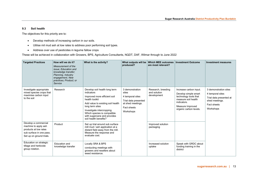### **9.3 Soil health**

The objectives for this priority are to:

- Develop methods of increasing carbon in our soils.
- Utilise mil mud ash at low rates to address poor performing soil types.
- Address over use of pesticides in legume fallow crops

These will be achieved in collaboration with Growers, BPS, Agriculture Consultants, NQDT, DAF, Wilmar through to June 2022

<span id="page-13-0"></span>

| <b>Targeted Practices</b>                                                                                                     | How will we do it?<br>Measurement of the<br><i>issue: Education and</i><br>knowledge transfer;<br>Planning, Industry<br>engagement, New<br>practices: Product: or<br>Service | What is the activity?                                                                                                                                                                                                                                                      | What outputs will be<br>produced?                                                                                     | <b>Which MEE outcomes</b><br>are most relevant?   | <b>Investment Outcome</b>                                                                                                                                   | <b>Investment measures</b>                                                                                         |
|-------------------------------------------------------------------------------------------------------------------------------|------------------------------------------------------------------------------------------------------------------------------------------------------------------------------|----------------------------------------------------------------------------------------------------------------------------------------------------------------------------------------------------------------------------------------------------------------------------|-----------------------------------------------------------------------------------------------------------------------|---------------------------------------------------|-------------------------------------------------------------------------------------------------------------------------------------------------------------|--------------------------------------------------------------------------------------------------------------------|
| Investigate appropriate<br>mixed species crops that<br>maximise carbon input<br>to the soil                                   | Research                                                                                                                                                                     | Develop soil health long term<br>indicators<br>Improved more efficient soil<br>health toolkit<br>Add value to existing soil health<br>long term sites<br>Investigate intercropping.<br>Which species is compatible<br>with sugarcane and provides<br>soil health benefits? | 3 demonstration<br>sites<br>4 temporal sites<br>Trial data presented<br>at shed meetings.<br>Fact sheets<br>Workshops | Research, breeding<br>and solution<br>development | Increase carbon input.<br>Develop simple smart<br>technology tools that<br>measure soil health<br>indicators.<br>Measure Improved<br>organic carbon levels. | 3 demonstration sites<br>4 temporal sites<br>Trial data presented at<br>shed meetings.<br>Fact sheets<br>Workshops |
| Develop a commercial<br>machine to apply ash<br>products at low rates<br>sub surface in one pass.<br>Set up on ground trials. | Product                                                                                                                                                                      | Set up trial around sub surface<br>mill mud / ash application at a<br>distant field away from the mill.<br>Measure the response and<br>evaluate cost.                                                                                                                      |                                                                                                                       | Improved solution<br>packaging                    |                                                                                                                                                             |                                                                                                                    |
| Education on strategic<br>tillage and herbicide<br>group rotation.                                                            | <b>Education and</b><br>knowledge transfer                                                                                                                                   | Locally SRA & BPS<br>conducting meetings with<br>growers and resellers about<br>weed resistance.                                                                                                                                                                           |                                                                                                                       | Increased solution<br>uptake                      | Speak with GRDC about<br>funding training in the<br>district                                                                                                |                                                                                                                    |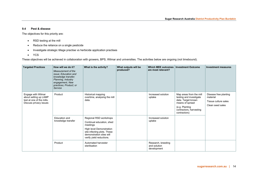### **9.4 Pest & disease**

The objectives for this priority are:

- RSD testing at the mill
- Reduce the reliance on a single pesticide
- Investigate strategic tillage practise vs herbicide application practises
- YCS

These objectives will be achieved in collaboration with growers, BPS, Wilmar and universities. The activities below are ongoing (not timebound).

<span id="page-14-0"></span>

| <b>Targeted Practices</b>                                                                          | How will we do it?<br>Measurement of the<br>issue; Education and<br>knowledge transfer;<br>Planning, Industry<br>engagement, New<br>practices; Product; or<br>Service | What is the activity?                                                                                                                                                              | What outputs will be<br>produced? | <b>Which MEE outcomes</b><br>are most relevant?   | <b>Investment Outcome</b>                                                                                                                                | <b>Investment measures</b>                                                    |
|----------------------------------------------------------------------------------------------------|-----------------------------------------------------------------------------------------------------------------------------------------------------------------------|------------------------------------------------------------------------------------------------------------------------------------------------------------------------------------|-----------------------------------|---------------------------------------------------|----------------------------------------------------------------------------------------------------------------------------------------------------------|-------------------------------------------------------------------------------|
| Engage with Wilmar<br>about setting up LAMP<br>test at one of the mills.<br>Discuss privacy issues | Product                                                                                                                                                               | Historical mapping<br>overtime, analysing the mill<br>data.                                                                                                                        |                                   | Increased solution<br>uptake                      | Map areas from the mill<br>testing and investigate<br>data. Target known<br>means of spread<br>(e.g. Planting<br>contractors, harvesting<br>contractors) | Disease free planting<br>material<br>Tissue culture sales<br>Clean seed sales |
|                                                                                                    | Education and<br>knowledge transfer                                                                                                                                   | Regional RSD workshops<br>Continual education, shed<br>meetings<br>High level Demonstration<br>site infecting plots. These<br>demonstration sites will<br>verify yield reductions. |                                   | Increased solution<br>uptake                      |                                                                                                                                                          |                                                                               |
|                                                                                                    | Product                                                                                                                                                               | Automated harvester<br>sterilisation                                                                                                                                               |                                   | Research, breeding<br>and solution<br>development |                                                                                                                                                          |                                                                               |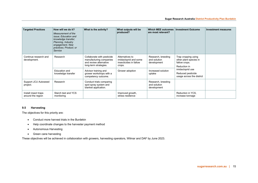| <b>Targeted Practices</b>                 | How will we do it?<br>Measurement of the<br><i>issue: Education and</i><br>knowledge transfer;<br>Planning, Industry<br>engagement, New<br>practices: Product: or<br>Service | What is the activity?                                                                                    | What outputs will be<br>produced?                                            | <b>Which MEE outcomes</b><br>are most relevant?   | <b>Investment Outcome</b>                                                                                                                            | <b>Investment measures</b> |
|-------------------------------------------|------------------------------------------------------------------------------------------------------------------------------------------------------------------------------|----------------------------------------------------------------------------------------------------------|------------------------------------------------------------------------------|---------------------------------------------------|------------------------------------------------------------------------------------------------------------------------------------------------------|----------------------------|
| Continue research and<br>development.     | Research                                                                                                                                                                     | Collaborate with pesticide<br>manufacturing companies<br>and review alternative<br>long-term strategies. | Alternatives to<br>imidacloprid and some<br>insecticides in fallow<br>crops. | Research, breeding<br>and solution<br>development | Trap cropping using<br>other plant species in<br>fallow crops.<br>Reduction in<br>imidacloprid use<br>Reduced pesticide<br>usage across the district |                            |
|                                           | <b>Education and</b><br>knowledge transfer                                                                                                                                   | Advisor training and<br>grower workshops with a<br>competency outcome.                                   | Grower adoption                                                              | Increased solution<br>uptake                      |                                                                                                                                                      |                            |
| Support JCU Autoweed<br>project.          | Research                                                                                                                                                                     | Conduct trials comparing<br>spot spray system and<br>blanket application.                                |                                                                              | Research, breeding<br>and solution<br>development |                                                                                                                                                      |                            |
| Install insect traps<br>around the region | Starch test and YCS<br>monitoring                                                                                                                                            |                                                                                                          | Improved growth,<br>stress resilience                                        |                                                   | Reduction in YCS,<br>increase tonnage                                                                                                                |                            |

## **9.5 Harvesting**

The objectives for this priority are:

- Conduct more harvest trials in the Burdekin
- Help coordinate changes to the harvester payment method
- Autonomous Harvesting
- Green cane harvesting

<span id="page-15-0"></span>These objectives will be achieved in collaboration with growers, harvesting operators, Wilmar and DAF by June 2023.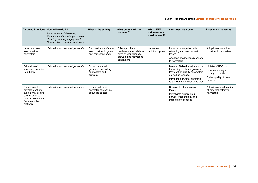| <b>Targeted Practices</b>                                                                                                         | How will we do it?<br>Measurement of the issue:<br>Education and knowledge transfer;<br>Planning, Industry engagement,<br>New practices; Product; or Service | What is the activity?                                                      | What outputs will be<br>produced?                                                                              | <b>Which MEE</b><br>outcomes are<br>most relevant? | <b>Investment Outcome</b>                                                                                                                                                                      | <b>Investment measures</b>                                                                        |
|-----------------------------------------------------------------------------------------------------------------------------------|--------------------------------------------------------------------------------------------------------------------------------------------------------------|----------------------------------------------------------------------------|----------------------------------------------------------------------------------------------------------------|----------------------------------------------------|------------------------------------------------------------------------------------------------------------------------------------------------------------------------------------------------|---------------------------------------------------------------------------------------------------|
| Introduce cane<br>loss monitors to<br>harvesters                                                                                  | Education and knowledge transfer                                                                                                                             | Demonstration of cane<br>loss monitors to grower<br>and harvesting sector. | SRA agriculture<br>machinery specialists to<br>develop workshops for<br>growers and harvesting<br>contractors. | Increased<br>solution uptake                       | Improve tonnage by better<br>ratooning and less harvest<br>losses<br>Adoption of cane loss monitors<br>to harvesters                                                                           | Adoption of cane loss<br>monitors to harvesters                                                   |
| Education of<br>economic benefits<br>to industry                                                                                  | Education and knowledge transfer                                                                                                                             | Coordinate small<br>groups of harvesting<br>contractors and<br>growers     |                                                                                                                |                                                    | More profitable industry across<br>harvesting, millers & growers.<br>Payment on quality parameters<br>as well as tonnage.<br>Introduce harvester operators<br>to the Harvester Predictive tool | Uptake of HDP tool<br>Increase tonnage<br>through the mills.<br>Better quality of cane<br>samples |
| Coordinate the<br>development of a<br>system that allows<br>control of billet<br>quality parameters<br>from a mobile<br>platform. | Education and knowledge transfer                                                                                                                             | Engage with major<br>harvester companies<br>about the concept              |                                                                                                                |                                                    | Remove the human error<br>factor.<br>Investigate current grain<br>harvester technology and<br>multiple row concept.                                                                            | Adoption and adaptation<br>of new technology to<br>harvesters                                     |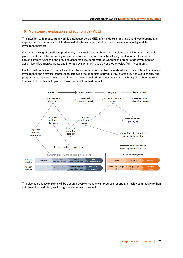## <span id="page-17-0"></span>**10 Monitoring, evaluation and economics (MEE)**

The intention with impact framework is that best practice MEE informs decision making and drives learning and improvement and enables SRA to demonstrate the value provided from investments to industry and its investment partners.

Cascading through from district productivity plans to the research investment plans and linking to the strategic plan, indicators will be commonly applied and focused on outcomes. Monitoring, evaluation and economics serves different functions and provides accountability, demonstrates worthiness or merit of an investment or action, identifies improvements and informs decision-making to deliver greater value from investments.

It is focused on delivery to impact and the following outcomes map has been developed to show how the different investments and activities contribute to achieving the endpoints of productivity, profitability and sustainability and progress towards these points. It is aimed on the end desired outcomes as shown by the top line charting from 'Research' to 'Potential Impact' to 'Likely Impact' to Actual Impact.



The district productivity plans will be updated every 6 months with progress reports and reviewed annually to then determine the next plan, track progress and measure impact.